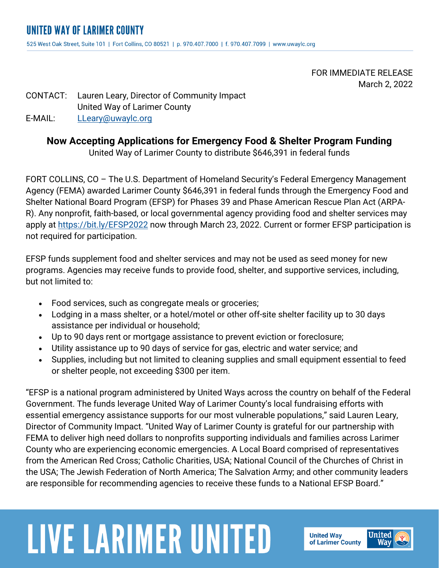FOR IMMEDIATE RELEASE March 2, 2022

#### CONTACT: Lauren Leary, Director of Community Impact United Way of Larimer County E-MAIL: LLeary@uwaylc.org

### **Now Accepting Applications for Emergency Food & Shelter Program Funding**

United Way of Larimer County to distribute \$646,391 in federal funds

FORT COLLINS, CO – The U.S. Department of Homeland Security's Federal Emergency Management Agency (FEMA) awarded Larimer County \$646,391 in federal funds through the Emergency Food and Shelter National Board Program (EFSP) for Phases 39 and Phase American Rescue Plan Act (ARPA-R). Any nonprofit, faith-based, or local governmental agency providing food and shelter services may apply at https://bit.ly/EFSP2022 now through March 23, 2022. Current or former EFSP participation is not required for participation.

EFSP funds supplement food and shelter services and may not be used as seed money for new programs. Agencies may receive funds to provide food, shelter, and supportive services, including, but not limited to:

- Food services, such as congregate meals or groceries;
- Lodging in a mass shelter, or a hotel/motel or other off-site shelter facility up to 30 days assistance per individual or household;
- Up to 90 days rent or mortgage assistance to prevent eviction or foreclosure;
- Utility assistance up to 90 days of service for gas, electric and water service; and
- Supplies, including but not limited to cleaning supplies and small equipment essential to feed or shelter people, not exceeding \$300 per item.

"EFSP is a national program administered by United Ways across the country on behalf of the Federal Government. The funds leverage United Way of Larimer County's local fundraising efforts with essential emergency assistance supports for our most vulnerable populations," said Lauren Leary, Director of Community Impact. "United Way of Larimer County is grateful for our partnership with FEMA to deliver high need dollars to nonprofits supporting individuals and families across Larimer County who are experiencing economic emergencies. A Local Board comprised of representatives from the American Red Cross; Catholic Charities, USA; National Council of the Churches of Christ in the USA; The Jewish Federation of North America; The Salvation Army; and other community leaders are responsible for recommending agencies to receive these funds to a National EFSP Board."

# **LIVE LARIMER UNITED**

**United Way** of Larimer County